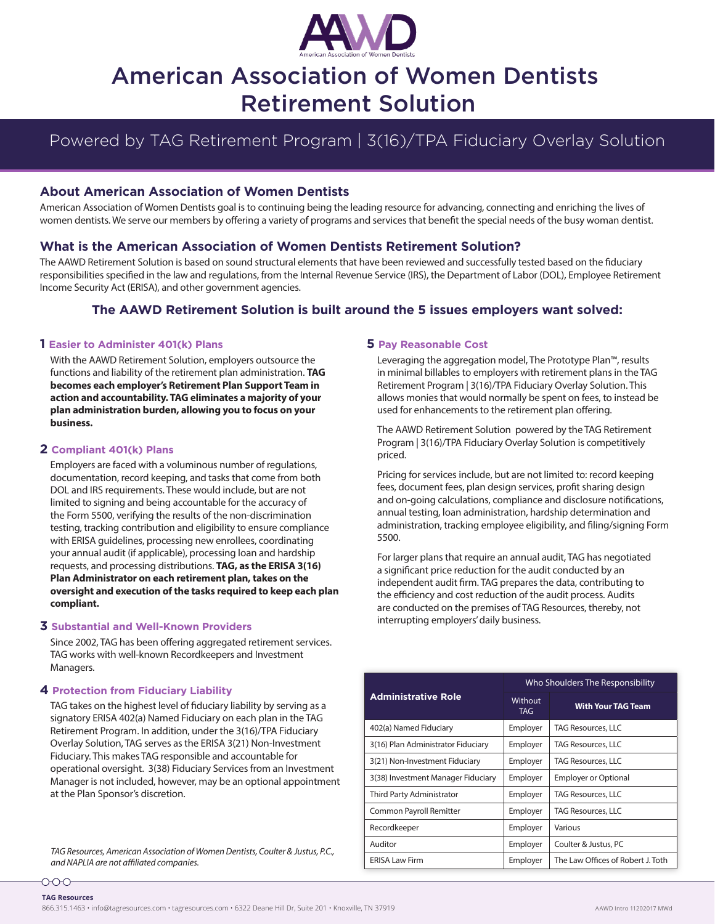

# American Association of Women Dentists Retirement Solution

## Powered by TAG Retirement Program | 3(16)/TPA Fiduciary Overlay Solution

#### **About American Association of Women Dentists**

American Association of Women Dentists goal is to continuing being the leading resource for advancing, connecting and enriching the lives of women dentists. We serve our members by offering a variety of programs and services that benefit the special needs of the busy woman dentist.

#### **What is the American Association of Women Dentists Retirement Solution?**

The AAWD Retirement Solution is based on sound structural elements that have been reviewed and successfully tested based on the fiduciary responsibilities specified in the law and regulations, from the Internal Revenue Service (IRS), the Department of Labor (DOL), Employee Retirement Income Security Act (ERISA), and other government agencies.

### **The AAWD Retirement Solution is built around the 5 issues employers want solved:**

#### **1 Easier to Administer 401(k) Plans**

With the AAWD Retirement Solution, employers outsource the functions and liability of the retirement plan administration. **TAG becomes each employer's Retirement Plan Support Team in action and accountability. TAG eliminates a majority of your plan administration burden, allowing you to focus on your business.**

#### **2 Compliant 401(k) Plans**

Employers are faced with a voluminous number of regulations, documentation, record keeping, and tasks that come from both DOL and IRS requirements. These would include, but are not limited to signing and being accountable for the accuracy of the Form 5500, verifying the results of the non-discrimination testing, tracking contribution and eligibility to ensure compliance with ERISA guidelines, processing new enrollees, coordinating your annual audit (if applicable), processing loan and hardship requests, and processing distributions. **TAG, as the ERISA 3(16) Plan Administrator on each retirement plan, takes on the oversight and execution of the tasks required to keep each plan compliant.**

#### **3 Substantial and Well-Known Providers**

Since 2002, TAG has been offering aggregated retirement services. TAG works with well-known Recordkeepers and Investment Managers.

#### **4 Protection from Fiduciary Liability**

000-

TAG takes on the highest level of fiduciary liability by serving as a signatory ERISA 402(a) Named Fiduciary on each plan in the TAG Retirement Program. In addition, under the 3(16)/TPA Fiduciary Overlay Solution, TAG serves as the ERISA 3(21) Non-Investment Fiduciary. This makes TAG responsible and accountable for operational oversight. 3(38) Fiduciary Services from an Investment Manager is not included, however, may be an optional appointment at the Plan Sponsor's discretion.

*TAG Resources, American Association of Women Dentists, Coulter & Justus, P.C., and NAPLIA are not affiliated companies.*

#### **5 Pay Reasonable Cost**

Leveraging the aggregation model, The Prototype Plan™, results in minimal billables to employers with retirement plans in the TAG Retirement Program | 3(16)/TPA Fiduciary Overlay Solution. This allows monies that would normally be spent on fees, to instead be used for enhancements to the retirement plan offering.

The AAWD Retirement Solution powered by the TAG Retirement Program | 3(16)/TPA Fiduciary Overlay Solution is competitively priced.

Pricing for services include, but are not limited to: record keeping fees, document fees, plan design services, profit sharing design and on-going calculations, compliance and disclosure notifications, annual testing, loan administration, hardship determination and administration, tracking employee eligibility, and filing/signing Form 5500.

For larger plans that require an annual audit, TAG has negotiated a significant price reduction for the audit conducted by an independent audit firm. TAG prepares the data, contributing to the efficiency and cost reduction of the audit process. Audits are conducted on the premises of TAG Resources, thereby, not interrupting employers' daily business.

| <b>Administrative Role</b>         | Who Shoulders The Responsibility |                                   |
|------------------------------------|----------------------------------|-----------------------------------|
|                                    | Without<br><b>TAG</b>            | <b>With Your TAG Team</b>         |
| 402(a) Named Fiduciary             | Employer                         | <b>TAG Resources, LLC</b>         |
| 3(16) Plan Administrator Fiduciary | Employer                         | <b>TAG Resources, LLC</b>         |
| 3(21) Non-Investment Fiduciary     | Employer                         | <b>TAG Resources, LLC</b>         |
| 3(38) Investment Manager Fiduciary | Employer                         | <b>Employer or Optional</b>       |
| Third Party Administrator          | Employer                         | <b>TAG Resources, LLC</b>         |
| Common Payroll Remitter            | Employer                         | <b>TAG Resources, LLC</b>         |
| Recordkeeper                       | Employer                         | Various                           |
| Auditor                            | Employer                         | Coulter & Justus, PC              |
| <b>ERISA Law Firm</b>              | Employer                         | The Law Offices of Robert J. Toth |